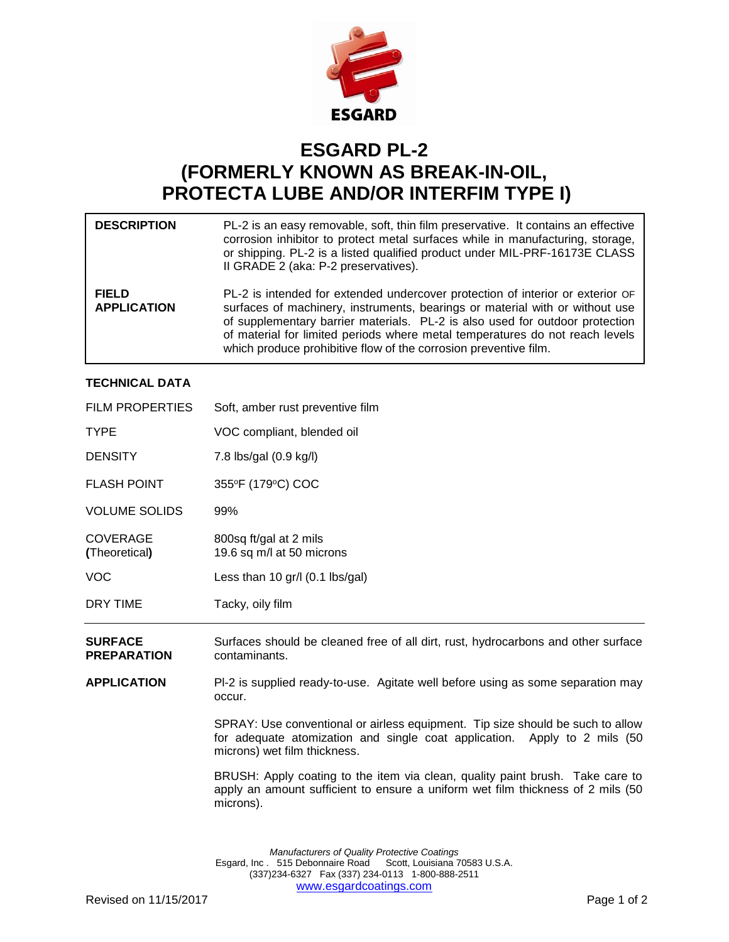

## **ESGARD PL-2 (FORMERLY KNOWN AS BREAK-IN-OIL, PROTECTA LUBE AND/OR INTERFIM TYPE I)**

| <b>DESCRIPTION</b>                 | PL-2 is an easy removable, soft, thin film preservative. It contains an effective<br>corrosion inhibitor to protect metal surfaces while in manufacturing, storage,<br>or shipping. PL-2 is a listed qualified product under MIL-PRF-16173E CLASS<br>II GRADE 2 (aka: P-2 preservatives).                                                                                                          |
|------------------------------------|----------------------------------------------------------------------------------------------------------------------------------------------------------------------------------------------------------------------------------------------------------------------------------------------------------------------------------------------------------------------------------------------------|
| <b>FIELD</b><br><b>APPLICATION</b> | PL-2 is intended for extended undercover protection of interior or exterior OF<br>surfaces of machinery, instruments, bearings or material with or without use<br>of supplementary barrier materials. PL-2 is also used for outdoor protection<br>of material for limited periods where metal temperatures do not reach levels<br>which produce prohibitive flow of the corrosion preventive film. |

## **TECHNICAL DATA**

| <b>FILM PROPERTIES</b>               | Soft, amber rust preventive film                                                                                                                                                            |
|--------------------------------------|---------------------------------------------------------------------------------------------------------------------------------------------------------------------------------------------|
| <b>TYPE</b>                          | VOC compliant, blended oil                                                                                                                                                                  |
| <b>DENSITY</b>                       | 7.8 lbs/gal (0.9 kg/l)                                                                                                                                                                      |
| <b>FLASH POINT</b>                   | 355°F (179°C) COC                                                                                                                                                                           |
| <b>VOLUME SOLIDS</b>                 | 99%                                                                                                                                                                                         |
| <b>COVERAGE</b><br>(Theoretical)     | 800sq ft/gal at 2 mils<br>19.6 sq m/l at 50 microns                                                                                                                                         |
| <b>VOC</b>                           | Less than 10 $gr/l$ (0.1 lbs/gal)                                                                                                                                                           |
| DRY TIME                             | Tacky, oily film                                                                                                                                                                            |
| <b>SURFACE</b><br><b>PREPARATION</b> | Surfaces should be cleaned free of all dirt, rust, hydrocarbons and other surface<br>contaminants.                                                                                          |
| <b>APPLICATION</b>                   | PI-2 is supplied ready-to-use. Agitate well before using as some separation may<br>occur.                                                                                                   |
|                                      | SPRAY: Use conventional or airless equipment. Tip size should be such to allow<br>for adequate atomization and single coat application. Apply to 2 mils (50<br>microns) wet film thickness. |
|                                      | BRUSH: Apply coating to the item via clean, quality paint brush. Take care to<br>apply an amount sufficient to ensure a uniform wet film thickness of 2 mils (50)<br>microns).              |

*Manufacturers of Quality Protective Coatings* Esgard, Inc . 515 Debonnaire Road Scott, Louisiana 70583 U.S.A. (337)234-6327 Fax (337) 234-0113 1-800-888-2511 [www.esgardcoatings.com](mailto:esgardUSA@worldnet.att.net)